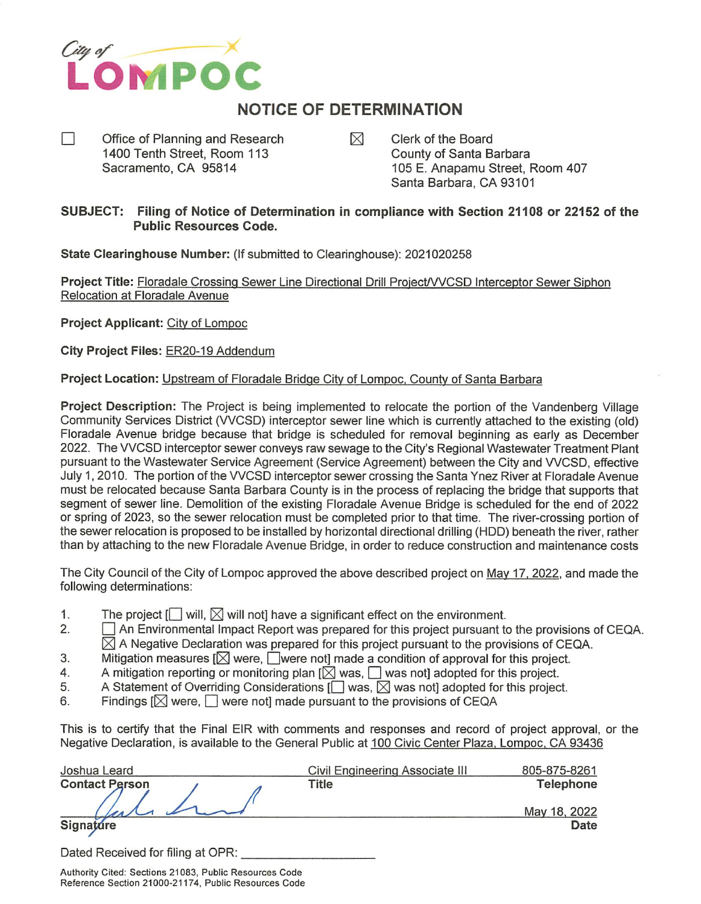

## NOTICE OF DETERMINATION

- П Office of Planning and Research  $\boxtimes$  Clerk of the Board<br>1400 Tenth Street, Room 113 County of Santa Barbara 1400 Tenth Street, Room 113
	- Sacramento, CA 95814 105 E. Anapamu Street, Room 407 Santa Barbara, CA 93101

## SUBJECT: Filing of Notice of Determination in compliance with Section 21108 or 22152 of the Public Resources Code.

State Clearinghouse Number: {If submitted to Clearinghouse); 2021020258

Project Title: Floradale Crossing Sewer Line Directional Drill Project/VVCSD Interceptor Sewer Siphon Relocation at Floradale Avenue

Project Applicant: City of Lompoc

City Project Files: ER20-19 Addendum

## Project Location: Upstream of Floradale Bridge City of Lompoc, County of Santa Barbara

Project Description: The Project is being implemented to relocate the portion of the Vandenberg Village Community Services District (VVCSD) interceptor sewer line which is currently attached to the existing (old) Floradale Avenue bridge because that bridge is scheduled for removal beginning as early as December 2022. The WCSD interceptor sewer conveys raw sewage to the City's Regional Wastewater Treatment Plant pursuant to the Wastewater Service Agreement (Service Agreement) between the City and WCSD, effective July 1, 2010. The portion of the WCSD interceptor sewer crossing the Santa Ynez River at Floradale Avenue must be relocated because Santa Barbara County is in the process of replacing the bridge that supports that segment of sewer line. Demolition of the existing Floradale Avenue Bridge is scheduled for the end of 2022 or spring of 2023, so the sewer relocation must be completed prior to that time. The river-crossing portion of the sewer relocation is proposed to be installed by horizontal directional drilling (HDD) beneath the river, rather than by attaching to the new Floradale Avenue Bridge, In order to reduce construction and maintenance costs

The City Council of the City of Lompoc approved the above described project on Mav 17. 2022. and made the following determinations:

- 1. The project  $[\Box]$  will,  $[\Box]$  will not] have a significant effect on the environment.<br>2.  $\Box$  An Environmental Impact Report was prepared for this project pursuant to
- $\Box$  An Environmental Impact Report was prepared for this project pursuant to the provisions of CEQA.  $\boxtimes$  A Negative Declaration was prepared for this project pursuant to the provisions of CEQA.
- 3. Mitigation measures  $\left[\bigtimes\right]$  were, were not made a condition of approval for this project.
- 4. A mitigation reporting or monitoring plan  $[\boxtimes]$  was,  $\Box$  was not] adopted for this project.<br>5. A Statement of Overriding Considerations  $[\Box]$  was,  $\boxtimes$  was not] adopted for this project
- 5. A Statement of Overriding Considerations  $[\Box$  was,  $\boxtimes$  was not] adopted for this project.<br>6. Findings  $[\boxtimes]$  were.  $\Box$  were not] made pursuant to the provisions of CEQA
- Findings  $[\boxtimes]$  were,  $[\Box]$  were not] made pursuant to the provisions of CEQA

This is to certify that the Final EIR with comments and responses and record of project approval, or the Negative Declaration, is available to the General Public at 100 Civic Center Plaza, Lompoc, CA 93436

| Joshua Leard                      | Civil Engineering Associate III | 805-875-8261     |
|-----------------------------------|---------------------------------|------------------|
| <b>Contact Person</b>             | Title                           | <b>Telephone</b> |
|                                   |                                 | May 18, 2022     |
| Signature                         |                                 | Date             |
| Dated Received for filing at OPR: |                                 |                  |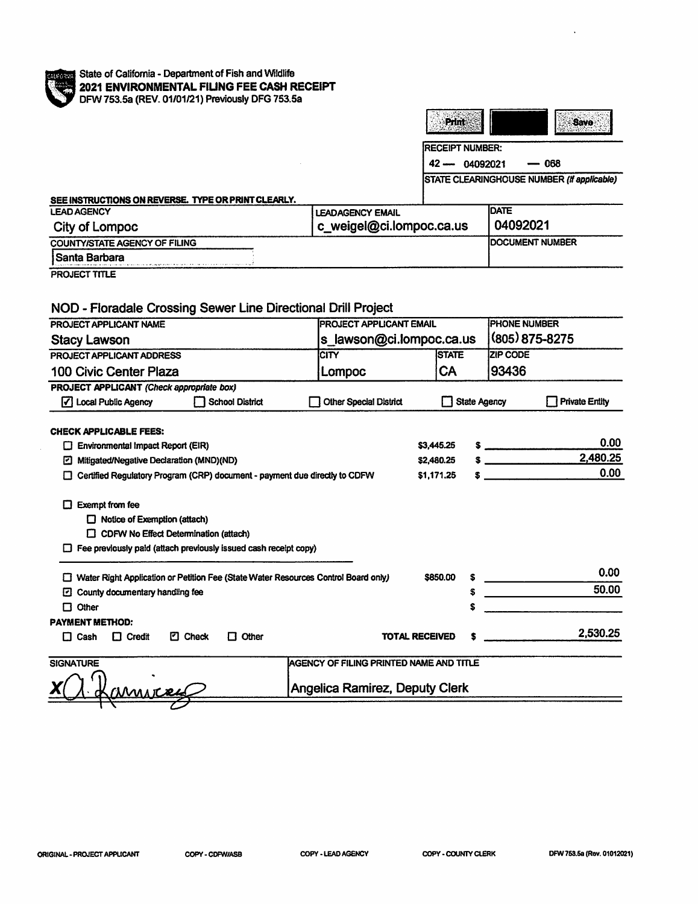

|                                                                                                                                                                                          |                                         |            | Print                  |                     | <b>Save</b>                                |
|------------------------------------------------------------------------------------------------------------------------------------------------------------------------------------------|-----------------------------------------|------------|------------------------|---------------------|--------------------------------------------|
|                                                                                                                                                                                          |                                         |            | <b>RECEIPT NUMBER:</b> |                     |                                            |
|                                                                                                                                                                                          |                                         |            | $42 - 04092021$        |                     | 068                                        |
|                                                                                                                                                                                          |                                         |            |                        |                     | STATE CLEARINGHOUSE NUMBER (If applicable) |
| SEE INSTRUCTIONS ON REVERSE. TYPE OR PRINT CLEARLY.                                                                                                                                      |                                         |            |                        |                     |                                            |
| <b>LEAD AGENCY</b>                                                                                                                                                                       | <b>LEADAGENCY EMAIL</b>                 |            |                        | <b>DATE</b>         |                                            |
| City of Lompoc                                                                                                                                                                           | c_weigel@ci.lompoc.ca.us                |            |                        | 04092021            |                                            |
| <b>COUNTY/STATE AGENCY OF FILING</b>                                                                                                                                                     |                                         |            |                        | DOCUMENT NUMBER     |                                            |
| Santa Barbara                                                                                                                                                                            |                                         |            |                        |                     |                                            |
| PROJECT TITLE                                                                                                                                                                            |                                         |            |                        |                     |                                            |
| NOD - Floradale Crossing Sewer Line Directional Drill Project                                                                                                                            |                                         |            |                        |                     |                                            |
| PROJECT APPLICANT NAME                                                                                                                                                                   | <b>PROJECT APPLICANT EMAIL</b>          |            |                        | <b>PHONE NUMBER</b> |                                            |
| <b>Stacy Lawson</b>                                                                                                                                                                      | s_lawson@ci.lompoc.ca.us                |            |                        | (805) 875-8275      |                                            |
| PROJECT APPLICANT ADDRESS                                                                                                                                                                | <b>CITY</b>                             |            | <b>STATE</b>           | <b>ZIP CODE</b>     |                                            |
| 100 Civic Center Plaza                                                                                                                                                                   | Lompoc                                  |            | <b>CA</b>              | 93436               |                                            |
| <b>PROJECT APPLICANT (Check appropriate box)</b><br>√ Local Public Agency<br><b>School District</b>                                                                                      | <b>Other Special District</b>           |            | <b>State Agency</b>    |                     | <b>Private Entity</b>                      |
| <b>CHECK APPLICABLE FEES:</b>                                                                                                                                                            |                                         |            |                        |                     |                                            |
| $\Box$ Environmental Impact Report (EIR)                                                                                                                                                 |                                         | \$3,445.25 |                        | $\sim$              | 0.00                                       |
| Mitigated/Negative Declaration (MND)(ND)                                                                                                                                                 |                                         | \$2,480.25 |                        | $\sim$              | 2,480.25                                   |
| Certified Regulatory Program (CRP) document - payment due directly to CDFW                                                                                                               |                                         | \$1,171.25 |                        |                     | 0.00                                       |
| $\Box$ Exempt from fee<br>$\Box$ Notice of Exemption (attach)<br>$\Box$ CDFW No Effect Determination (attach)<br>$\Box$ Fee previously paid (attach previously issued cash receipt copy) |                                         |            |                        |                     |                                            |
| Water Right Application or Petition Fee (State Water Resources Control Board only)                                                                                                       |                                         | \$850.00   |                        |                     | 0.00                                       |
| <b>2</b> County documentary handling fee                                                                                                                                                 |                                         |            | \$                     |                     | 50.00                                      |
| $\Box$ Other                                                                                                                                                                             |                                         |            |                        |                     |                                            |
| PAYMENT METHOD:                                                                                                                                                                          |                                         |            |                        |                     |                                            |
| <b>2</b> Check<br>$\Box$ Cash<br>$\Box$ Credit<br>$\Box$ Other                                                                                                                           | <b>TOTAL RECEIVED</b>                   |            |                        |                     | 2,530.25                                   |
| <b>SIGNATURE</b>                                                                                                                                                                         | AGENCY OF FILING PRINTED NAME AND TITLE |            |                        |                     |                                            |
| MUITTEL                                                                                                                                                                                  | Angelica Ramirez, Deputy Clerk          |            |                        |                     |                                            |
|                                                                                                                                                                                          |                                         |            |                        |                     |                                            |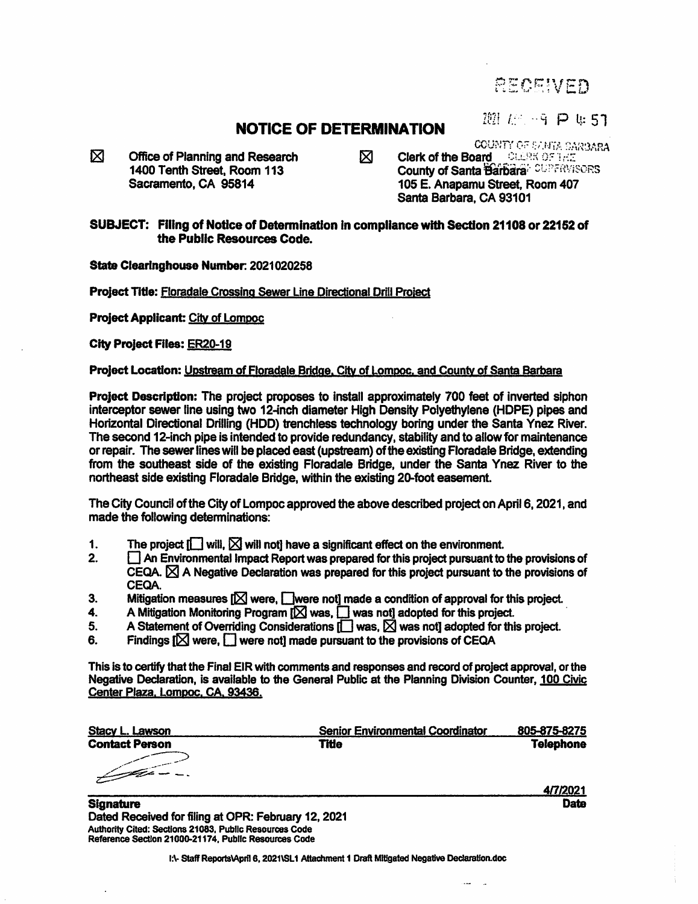**RECEIVED** 

## **NOTICE OF DETERMINATION**  $\frac{1021 \cdot 100 - 9 \cdot P}{\text{CUNIT CCEALATA DARGARA}}$

 $\boxtimes$  Office of Planning and Research  $\boxtimes$  Clerk of the Board JAN COUNTY of THE 1400 Tenth Street. Room 113

**1400 Tenth Street, Room 113** County of Santa **Barbara' CUPERVISORS**<br>Sacramento, CA 95814 **105 E. Anapamu Street, Room 407** 105 E. Anapamu Street, Room 407 Santa Barbara. CA 93101

SUBJECT: Filing of Notice of Determination In compliance with Section 21108 or 22152 of the Public Resources Code.

State Clearinghouse Number: 2021020258

Project Tide: Floradale Crossing Sewer Line Directional Drill Project

Project Applicant: City of Lompoc

City Project Files: ER20-19

Project Location: Upstream of Floradale Bridae. City of Lompoc. and County of Santa Barbara

Project Description: The project proposes to install approximately 700 feet of inverted siphon interceptor sewer line using two 12-inch diameter High Density Polyethylene (HOPE) pipes and Horizontal Directional Drilling (HDD) trenchless technology boring under the Santa Ynez River. The second 12-inch pipe is intended to provide redundancy, stability and to allow for maintenance or repair. The sewer lines will be placed east (upstream) of the existing Floradale Bridge, extending fiom the southeast side of the existing Floradale Bridge, under the Santa Ynez River to the northeast side existing Floradale Bridge, within the existing 20-foot easement.

The City Council of the City of Lompoc approved the above described project on April 6,2021, and made the following determinations:

- 1. The project  $\Box$  will,  $\boxtimes$  will not] have a significant effect on the environment.<br>2.  $\Box$  An Environmental impact Report was prepared for this project pursuant to
- $\Box$  An Environmental Impact Report was prepared for this project pursuant to the provisions of CEQA.  $\boxtimes$  A Negative Declaration was prepared for this project pursuant to the provisions of CEQA.
- 3. Mitigation measures  $[ $\times$  were, Gaussian made a condition of approval for this project.$
- 4. A Mitigation Monitoring Program  $[\boxtimes]$  was,  $\Box$  was not] adopted for this project.<br>5. A Statement of Overriding Considerations  $\Pi$  was  $[\boxtimes]$  was not] adopted for this
- 5. A Statement of Overriding Considerations  $\Box$  was,  $\boxtimes$  was not] adopted for this project.<br>6. Findings  $\Box$  were.  $\Box$  were not] made pursuant to the provisions of CEOA
- Findings  $[\boxtimes]$  were,  $[\Box]$  were noti made pursuant to the provisions of CEQA

This is to certify that the Final EIR with comments and responses and record of project approval, or the Negative Declaration, is available to the General Public at the Planning Division Counter, 100 Civic Center Plaza. Lomooc. CA. 93436.

| <b>Stacy L. Lawson</b> | <b>Senior Environmental Coordinator</b> | 805-875-8275     |
|------------------------|-----------------------------------------|------------------|
| <b>Contact Person</b>  | Title                                   | <b>Telephone</b> |
|                        |                                         |                  |
|                        |                                         | 4/7/2021         |
| <b>ALCOHOL: 1999</b>   |                                         | <b>MAGES</b>     |

**Signature Date** Dated Received for filing at OPR: February 12, 2021 Authority Cited: Sections 21083, Public Resources Code Reference Section 21000-21174, Pubiic Resources Code

I:\- Staff Reports\April 6, 2021\SL1 Attachment 1 Draft Mittgated Negative Declaration.doc